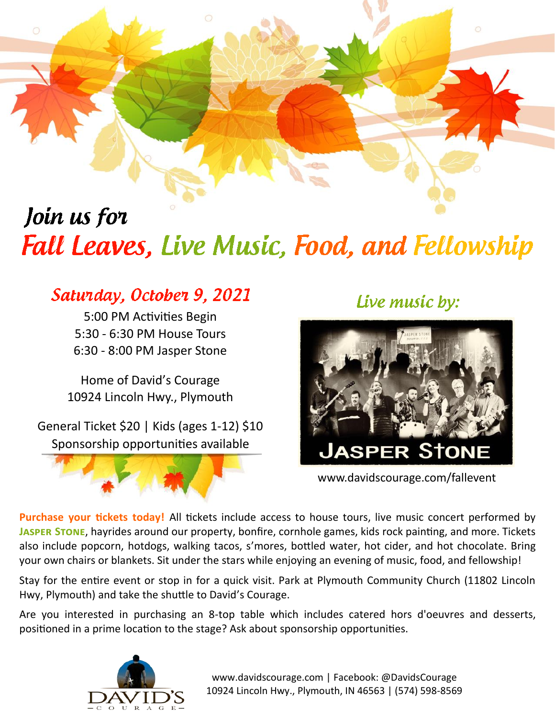## Join us for **Fall Leaves, Live Music, Food, and Fellowship**

#### Saturday, October 9, 2021

5:00 PM Activities Begin 5:30 - 6:30 PM House Tours 6:30 - 8:00 PM Jasper Stone

Home of David's Courage 10924 Lincoln Hwy., Plymouth

General Ticket \$20 | Kids (ages 1-12) \$10 Sponsorship opportunities available



Live music by:



www.davidscourage.com/fallevent

**Purchase your tickets today!** All tickets include access to house tours, live music concert performed by **Jasper Stone**, hayrides around our property, bonfire, cornhole games, kids rock painting, and more. Tickets also include popcorn, hotdogs, walking tacos, s'mores, bottled water, hot cider, and hot chocolate. Bring your own chairs or blankets. Sit under the stars while enjoying an evening of music, food, and fellowship!

Stay for the entire event or stop in for a quick visit. Park at Plymouth Community Church (11802 Lincoln Hwy, Plymouth) and take the shuttle to David's Courage.

Are you interested in purchasing an 8-top table which includes catered hors d'oeuvres and desserts, positioned in a prime location to the stage? Ask about sponsorship opportunities.



www.davidscourage.com | Facebook: @DavidsCourage 10924 Lincoln Hwy., Plymouth, IN 46563 | (574) 598-8569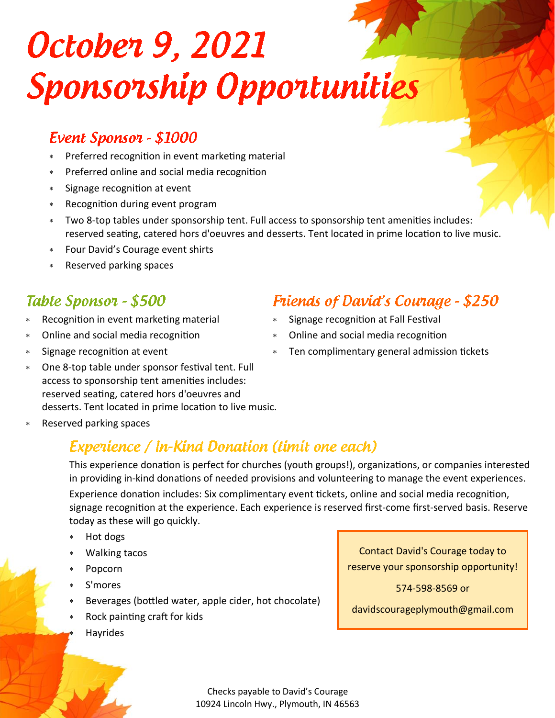# October 9, 2021 **Sponsorship Opportunities**

#### Event Sponsor - \$1000

- Preferred recognition in event marketing material
- Preferred online and social media recognition
- Signage recognition at event
- Recognition during event program
- Two 8-top tables under sponsorship tent. Full access to sponsorship tent amenities includes: reserved seating, catered hors d'oeuvres and desserts. Tent located in prime location to live music.
- Four David's Courage event shirts
- Reserved parking spaces

#### Table Sponson - \$500

- Recognition in event marketing material
- Online and social media recognition
- Signage recognition at event
- One 8-top table under sponsor festival tent. Full access to sponsorship tent amenities includes: reserved seating, catered hors d'oeuvres and desserts. Tent located in prime location to live music.
- Reserved parking spaces

#### Experience / In-Kind Donation (limit one each)

This experience donation is perfect for churches (youth groups!), organizations, or companies interested in providing in-kind donations of needed provisions and volunteering to manage the event experiences.

Experience donation includes: Six complimentary event tickets, online and social media recognition, signage recognition at the experience. Each experience is reserved first-come first-served basis. Reserve today as these will go quickly.

- Hot dogs
- Walking tacos
- Popcorn
- S'mores
- Beverages (bottled water, apple cider, hot chocolate)
- Rock painting craft for kids
- Hayrides

Contact David's Courage today to reserve your sponsorship opportunity!

574-598-8569 or

davidscourageplymouth@gmail.com

**Friends of David's Courage - \$250** 

- Signage recognition at Fall Festival
- Online and social media recognition
- Ten complimentary general admission tickets

Checks payable to David's Courage 10924 Lincoln Hwy., Plymouth, IN 46563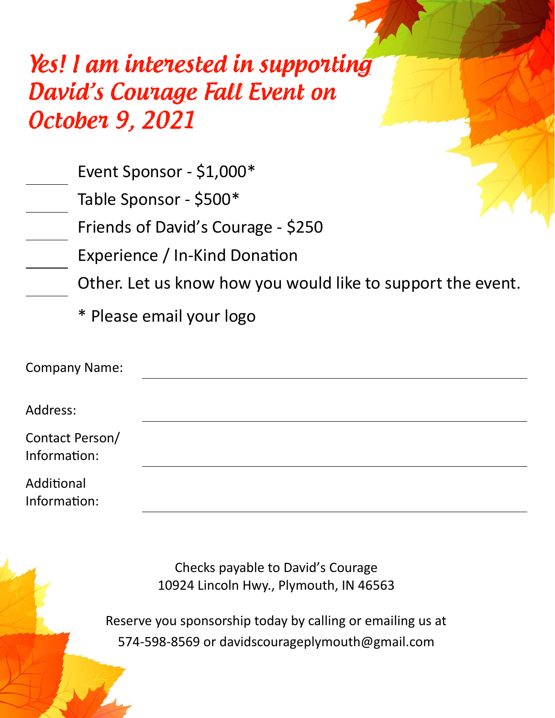### Yes! I am interested in supporting David's Courage Fall Event on October 9, 2021

Event Sponsor - \$1,000\* Table Sponsor - \$500\* Friends of David's Courage - \$250 Experience / In-Kind Donation Other. Let us know how you would like to support the event.

\* Please email your logo

| <b>Company Name:</b>            |  |  |
|---------------------------------|--|--|
| Address:                        |  |  |
| Contact Person/<br>Information: |  |  |
| Additional<br>Information:      |  |  |

Checks payable to David's Courage 10924 Lincoln Hwy., Plymouth, IN 46563

Reserve you sponsorship today by calling or emailing us at 574-598-8569 or davidscourageplymouth@gmail.com